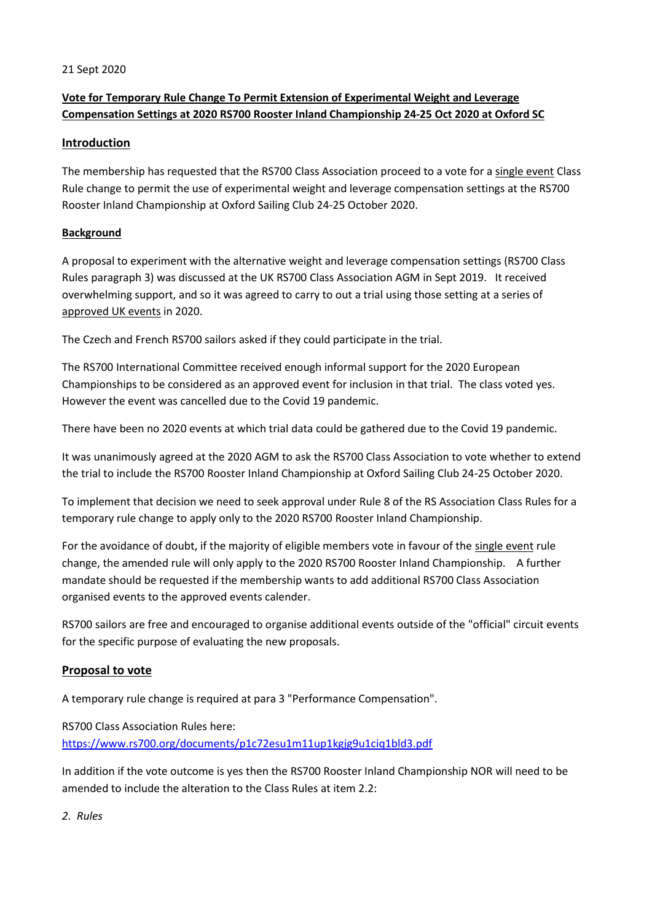### 21 Sept 2020

# **Vote for Temporary Rule Change To Permit Extension of Experimental Weight and Leverage Compensation Settings at 2020 RS700 Rooster Inland Championship 24-25 Oct 2020 at Oxford SC**

## **Introduction**

The membership has requested that the RS700 Class Association proceed to a vote for a single event Class Rule change to permit the use of experimental weight and leverage compensation settings at the RS700 Rooster Inland Championship at Oxford Sailing Club 24-25 October 2020.

## **Background**

A proposal to experiment with the alternative weight and leverage compensation settings (RS700 Class Rules paragraph 3) was discussed at the UK RS700 Class Association AGM in Sept 2019. It received overwhelming support, and so it was agreed to carry to out a trial using those setting at a series of approved UK events in 2020.

The Czech and French RS700 sailors asked if they could participate in the trial.

The RS700 International Committee received enough informal support for the 2020 European Championships to be considered as an approved event for inclusion in that trial. The class voted yes. However the event was cancelled due to the Covid 19 pandemic.

There have been no 2020 events at which trial data could be gathered due to the Covid 19 pandemic.

It was unanimously agreed at the 2020 AGM to ask the RS700 Class Association to vote whether to extend the trial to include the RS700 Rooster Inland Championship at Oxford Sailing Club 24-25 October 2020.

To implement that decision we need to seek approval under Rule 8 of the RS Association Class Rules for a temporary rule change to apply only to the 2020 RS700 Rooster Inland Championship.

For the avoidance of doubt, if the majority of eligible members vote in favour of the single event rule change, the amended rule will only apply to the 2020 RS700 Rooster Inland Championship. A further mandate should be requested if the membership wants to add additional RS700 Class Association organised events to the approved events calender.

RS700 sailors are free and encouraged to organise additional events outside of the "official" circuit events for the specific purpose of evaluating the new proposals.

## **Proposal to vote**

A temporary rule change is required at para 3 "Performance Compensation".

RS700 Class Association Rules here: <https://www.rs700.org/documents/p1c72esu1m11up1kgjg9u1ciq1bld3.pdf>

In addition if the vote outcome is yes then the RS700 Rooster Inland Championship NOR will need to be amended to include the alteration to the Class Rules at item 2.2:

*2. Rules*